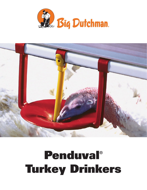



# Penduval® Turkey Drinkers